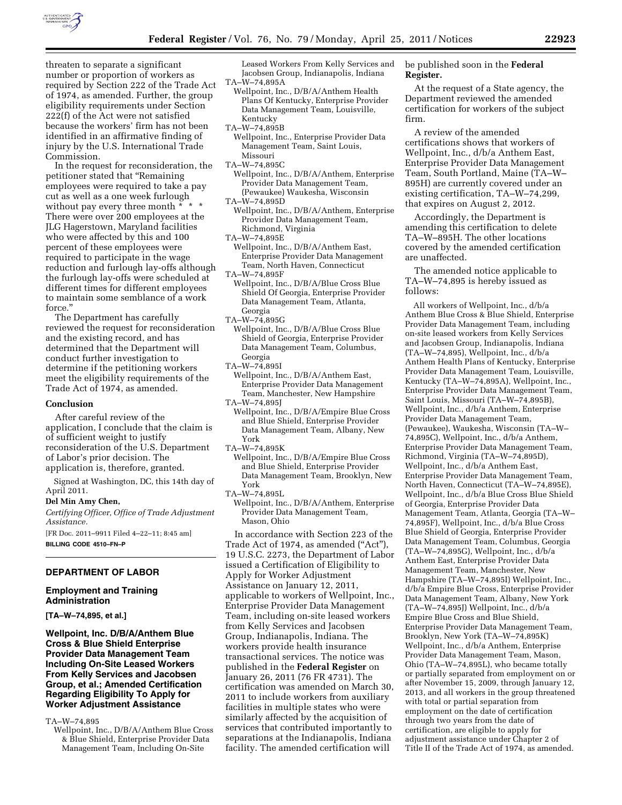

threaten to separate a significant number or proportion of workers as required by Section 222 of the Trade Act of 1974, as amended. Further, the group eligibility requirements under Section 222(f) of the Act were not satisfied because the workers' firm has not been identified in an affirmative finding of injury by the U.S. International Trade Commission.

In the request for reconsideration, the petitioner stated that ''Remaining employees were required to take a pay cut as well as a one week furlough without pay every three month  $*$  \* There were over 200 employees at the JLG Hagerstown, Maryland facilities who were affected by this and 100 percent of these employees were required to participate in the wage reduction and furlough lay-offs although the furlough lay-offs were scheduled at different times for different employees to maintain some semblance of a work force.''

The Department has carefully reviewed the request for reconsideration and the existing record, and has determined that the Department will conduct further investigation to determine if the petitioning workers meet the eligibility requirements of the Trade Act of 1974, as amended.

#### **Conclusion**

After careful review of the application, I conclude that the claim is of sufficient weight to justify reconsideration of the U.S. Department of Labor's prior decision. The application is, therefore, granted.

Signed at Washington, DC, this 14th day of April 2011.

### **Del Min Amy Chen,**

*Certifying Officer, Office of Trade Adjustment Assistance.* 

[FR Doc. 2011–9911 Filed 4–22–11; 8:45 am] **BILLING CODE 4510–FN–P** 

# **DEPARTMENT OF LABOR**

#### **Employment and Training Administration**

**[TA–W–74,895, et al.]** 

# **Wellpoint, Inc. D/B/A/Anthem Blue Cross & Blue Shield Enterprise Provider Data Management Team Including On-Site Leased Workers From Kelly Services and Jacobsen Group, et al.; Amended Certification Regarding Eligibility To Apply for Worker Adjustment Assistance**

TA–W–74,895

Wellpoint, Inc., D/B/A/Anthem Blue Cross & Blue Shield, Enterprise Provider Data Management Team, Including On-Site

Leased Workers From Kelly Services and Jacobsen Group, Indianapolis, Indiana TA–W–74,895A

- Wellpoint, Inc., D/B/A/Anthem Health Plans Of Kentucky, Enterprise Provider Data Management Team, Louisville, Kentucky
- TA–W–74,895B
	- Wellpoint, Inc., Enterprise Provider Data Management Team, Saint Louis, Missouri
- TA–W–74,895C
- Wellpoint, Inc., D/B/A/Anthem, Enterprise Provider Data Management Team, (Pewaukee) Waukesha, Wisconsin
- TA–W–74,895D
- Wellpoint, Inc., D/B/A/Anthem, Enterprise Provider Data Management Team, Richmond, Virginia
- TA–W–74,895E
- Wellpoint, Inc., D/B/A/Anthem East, Enterprise Provider Data Management Team, North Haven, Connecticut
- TA–W–74,895F
- Wellpoint, Inc., D/B/A/Blue Cross Blue Shield Of Georgia, Enterprise Provider Data Management Team, Atlanta, Georgia
- TA–W–74,895G
- Wellpoint, Inc., D/B/A/Blue Cross Blue Shield of Georgia, Enterprise Provider Data Management Team, Columbus, Georgia
- TA–W–74,895I
- Wellpoint, Inc., D/B/A/Anthem East, Enterprise Provider Data Management Team, Manchester, New Hampshire
- TA–W–74,895J Wellpoint, Inc., D/B/A/Empire Blue Cross and Blue Shield, Enterprise Provider Data Management Team, Albany, New York
- TA–W–74,895K
- Wellpoint, Inc., D/B/A/Empire Blue Cross and Blue Shield, Enterprise Provider Data Management Team, Brooklyn, New York
- TA–W–74,895L
	- Wellpoint, Inc., D/B/A/Anthem, Enterprise Provider Data Management Team, Mason, Ohio

In accordance with Section 223 of the Trade Act of 1974, as amended ("Act"), 19 U.S.C. 2273, the Department of Labor issued a Certification of Eligibility to Apply for Worker Adjustment Assistance on January 12, 2011, applicable to workers of Wellpoint, Inc., Enterprise Provider Data Management Team, including on-site leased workers from Kelly Services and Jacobsen Group, Indianapolis, Indiana. The workers provide health insurance transactional services. The notice was published in the **Federal Register** on January 26, 2011 (76 FR 4731). The certification was amended on March 30, 2011 to include workers from auxiliary facilities in multiple states who were similarly affected by the acquisition of services that contributed importantly to separations at the Indianapolis, Indiana facility. The amended certification will

be published soon in the **Federal Register.** 

At the request of a State agency, the Department reviewed the amended certification for workers of the subject firm.

A review of the amended certifications shows that workers of Wellpoint, Inc., d/b/a Anthem East, Enterprise Provider Data Management Team, South Portland, Maine (TA–W– 895H) are currently covered under an existing certification, TA–W–74,299, that expires on August 2, 2012.

Accordingly, the Department is amending this certification to delete TA–W–895H. The other locations covered by the amended certification are unaffected.

The amended notice applicable to TA–W–74,895 is hereby issued as follows:

All workers of Wellpoint, Inc., d/b/a Anthem Blue Cross & Blue Shield, Enterprise Provider Data Management Team, including on-site leased workers from Kelly Services and Jacobsen Group, Indianapolis, Indiana (TA–W–74,895), Wellpoint, Inc., d/b/a Anthem Health Plans of Kentucky, Enterprise Provider Data Management Team, Louisville, Kentucky (TA–W–74,895A), Wellpoint, Inc., Enterprise Provider Data Management Team, Saint Louis, Missouri (TA–W–74,895B), Wellpoint, Inc., d/b/a Anthem, Enterprise Provider Data Management Team, (Pewaukee), Waukesha, Wisconsin (TA–W– 74,895C), Wellpoint, Inc., d/b/a Anthem, Enterprise Provider Data Management Team, Richmond, Virginia (TA–W–74,895D), Wellpoint, Inc., d/b/a Anthem East, Enterprise Provider Data Management Team, North Haven, Connecticut (TA–W–74,895E), Wellpoint, Inc., d/b/a Blue Cross Blue Shield of Georgia, Enterprise Provider Data Management Team, Atlanta, Georgia (TA–W– 74,895F), Wellpoint, Inc., d/b/a Blue Cross Blue Shield of Georgia, Enterprise Provider Data Management Team, Columbus, Georgia (TA–W–74,895G), Wellpoint, Inc., d/b/a Anthem East, Enterprise Provider Data Management Team, Manchester, New Hampshire (TA–W–74,895I) Wellpoint, Inc., d/b/a Empire Blue Cross, Enterprise Provider Data Management Team, Albany, New York (TA–W–74,895J) Wellpoint, Inc., d/b/a Empire Blue Cross and Blue Shield, Enterprise Provider Data Management Team, Brooklyn, New York (TA–W–74,895K) Wellpoint, Inc., d/b/a Anthem, Enterprise Provider Data Management Team, Mason, Ohio (TA–W–74,895L), who became totally or partially separated from employment on or after November 15, 2009, through January 12, 2013, and all workers in the group threatened with total or partial separation from employment on the date of certification through two years from the date of certification, are eligible to apply for adjustment assistance under Chapter 2 of Title II of the Trade Act of 1974, as amended.